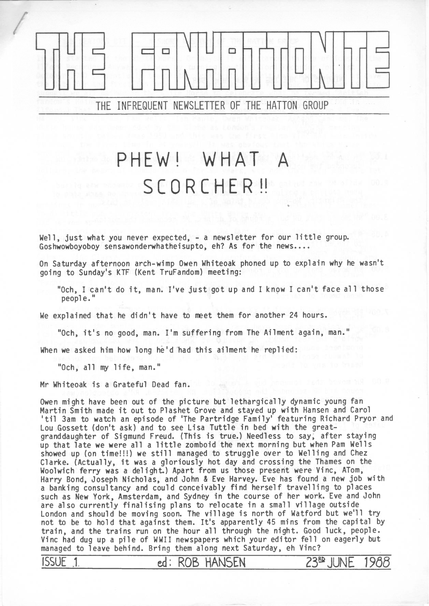## $\Box$  $\Box$ THE INFREQUENT NEWSLETTER OF THE HATTON GROUP

## PHEW! WHAT SCORCHER !!

Well, just what you never expected, - a newsletter for our little group. Goshwowboyoboy sensawonderwhatheisupto, eh? As for the news....

On Saturday afternoon arch-wimp Owen Whiteoak phoned up to explain why he wasn't going to Sunday's KTF (Kent TruFandom) meeting:

"Och, <sup>I</sup> can't do it, man. I've just got up and <sup>I</sup> know <sup>I</sup> can't face all those people."

We explained that he didn't have to meet them for another <sup>24</sup> hours.

"Och, it's no good, man. I'm suffering from The Ailment again, man."

When we asked him how long he'd had this ailment he replied:

"Och, all my life, man."

Mr Whiteoak is <sup>a</sup> Grateful Dead fan.

Owen might have been out of the picture but lethargically dynamic young fan Martin Smith made it out to Plashet Grove and stayed up with Hansen and Carol 'til 3am to watch an episode of 'The Partridge Family' featuring Richard Pryor and Lou Gossett (don't ask) and to see Lisa Tuttle in bed with the greatgranddaughter of Sigmund Freud. (This is true.) Needless to say, after staying up that late we were all <sup>a</sup> little zomboid the next morning but when Pam Wells showed up (on time!!!) we still managed to struggle over to Welling and Chez Clarke. (Actually, it was <sup>a</sup> gloriously hot day and crossing the Thames on the Woolwich ferry was <sup>a</sup> delight.) Apart from us those present were Vine, ATom, Harry Bond, Joseph Nicholas, and John & Eve Harvey. Eve has found <sup>a</sup> new job with <sup>a</sup> banking consultancy and could conceivably find herself travelling to places such as New York, Amsterdam, and Sydney in the course of her work. Eve and John are also currently finalising plans to relocate in a small village outside London and should be moving soon. The village is north of Watford but we'll try not to be to hold that against them. It's apparently <sup>45</sup> mins from the capital by train, and the trains run on the hour all through the night. Good luck, people. Vine had dug up <sup>a</sup> pile of WWII newspapers which your editor fell on eagerly but managed to leave behind. Bring them along next Saturday, eh Vine?

ISSUE 1. ed: ROB HANSEN 23<sup>B</sup>JUNE 1988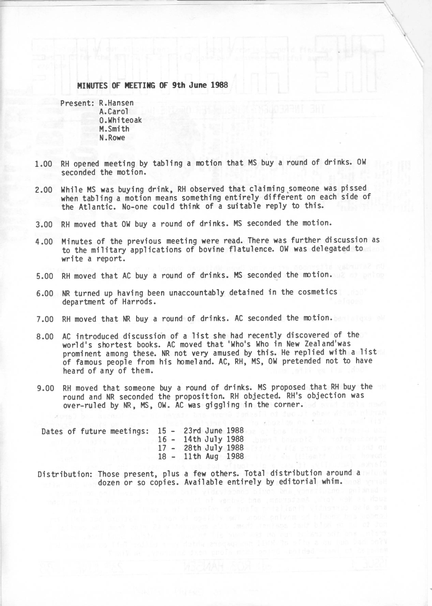## **MINUTES OF MEETING OF 9th June 1988**

Present: R.Hansen A.Carol 0.Whiteoak M.Smith N.Rowe

- 1.00 RH opened meeting by tabling <sup>a</sup> motion that MS buy <sup>a</sup> round of drinks. OW seconded the motion.
- 2.00 While MS was buying drink, RH observed that claiming someone was pissed when tabling <sup>a</sup> motion means something entirely different on each side of the Atlantic. No-one could think of <sup>a</sup> suitable reply to this.
- 3.00 RH moved that OW buy <sup>a</sup> round of drinks. MS seconded the motion.
- 4.00 Minutes of the previous meeting were read. There was further discussion as to the military applications of bovine flatulence. OW was delegated to write <sup>a</sup> report.
- 5.00 RH moved that AC buy <sup>a</sup> round of drinks. MS seconded the motion.
- 6.00 NR turned up having been unaccountably detained in the cosmetics department of Harrods.
- 7.00 RH moved that NR buy <sup>a</sup> round of drinks. AC seconded the motion.
- 8.00 AC introduced discussion of <sup>a</sup> list she had recently discovered of the world's shortest books. AC moved that 'Who's Who in New Zealand'was prominent among these. NR not very amused by this. He replied with <sup>a</sup> list of famous people from his homeland. AC, RH, MS, OW pretended not to have heard of any of them.
- 9.00 RH moved that someone buy <sup>a</sup> round of drinks. MS proposed that RH buy the round and NR seconded the proposition. RH objected. RH's objection was over-ruled by NR, MS, OW. AC was giggling in the corner.

|  |  | Dates of future meetings: 15 - 23rd June 1988 |  | 16 - 14th July 1988<br>17 - 28th July 1988 |  |  |
|--|--|-----------------------------------------------|--|--------------------------------------------|--|--|
|  |  |                                               |  | 18 - 11th Aug 1988                         |  |  |
|  |  |                                               |  |                                            |  |  |

Distribution: Those present, plus a few others. Total distribution around a dozen or so copies. Available entirely by editorial whim.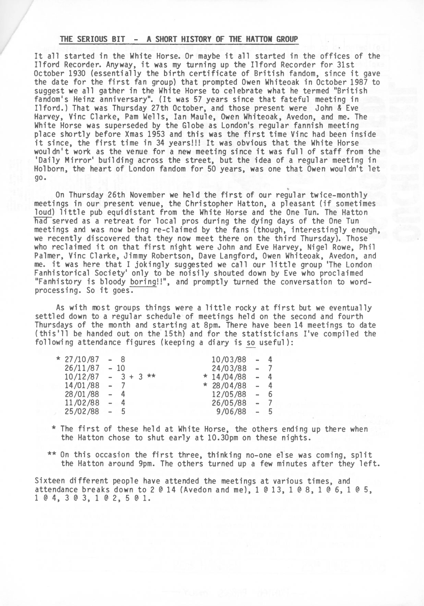## **THE SERIOUS BIT - <sup>A</sup> SHORT HISTORY OF THE HATTON GROUP**

It all started in the White Horse. Or maybe it all started in the offices of the Ilford Recorder. Anyway, it was my turning up the Ilford Recorder for 31st October <sup>1930</sup> (essentially the birth certificate of British fandom, since it gave the date for the first fan group) that prompted Owen Whiteoak in October <sup>1987</sup> to suggest we all gather in the White Horse to celebrate what he termed "British fandom's Heinz anniversary". (It was <sup>57</sup> years since that fateful meeting in Ilford.) That was Thursday 27th October, and those present were John & Eve Harvey, Vine Clarke, Pam Wells, Ian Maule, Owen Whiteoak, Avedon, and me. The White Horse was superseded by the Globe as London's regular fannish meeting place shortly before Xmas <sup>1953</sup> and this was the first time Vine had been inside it since, the first time in <sup>34</sup> years!!! It was obvious that the White Horse wouldn't work as the venue for <sup>a</sup> new meeting since it was full of staff from the 'Daily Mirror' building across the street, but the idea of <sup>a</sup> regular meeting in Hol born, the heart of London fandom for <sup>50</sup> years, was one that Owen wouldn't let go.

On Thursday 26th November we held the first of our regular twice-monthly meetings in our present venue, the Christopher Hatton, <sup>a</sup> pleasant (if sometimes loud) little pub equidistant from the White Horse and the One Tun. The Hatton had served as <sup>a</sup> retreat for local pros during the dying days of the One Tun meetings and was now being re-claimed by the fans (though, interestingly enough, we recently discovered that they now meet there on the third Thursday). Those who reclaimed it on that first night were John and Eve Harvey, Nigel Rowe, Phil Palmer, Vine Clarke, Jimmy Robertson, Dave Langford, Owen Whiteoak, Avedon, and me. it was here that <sup>I</sup> jokingly suggested we call our little group 'The London Fanhistorical Society' only to be noisily shouted down by Eve who proclaimed "Fanhistory is bloody boring!!", and promptly turned the conversation to wordprocessing. So it goes.

As with most groups things were <sup>a</sup> little rocky at first but we eventually settled down to <sup>a</sup> regular schedule of meetings held on the second and fourth Thursdays of the month and starting at 8pm. There have been 14 meetings to date (this'll be handed out on the 15th) and for the statisticians I've compiled the following attendance figures (keeping <sup>a</sup> diary is so useful):

| ★ | 27/10/87 | $-8$           |  |  | 10/03/88     |        | - 4 |
|---|----------|----------------|--|--|--------------|--------|-----|
|   | 26/11/87 | $-10$          |  |  | 24/03/88     | $-7$   |     |
|   | 10/12/87 | $-3+3**$       |  |  | $* 14/04/88$ | - 4    |     |
|   | 14/01/88 | $-7$           |  |  | * $28/04/88$ | - 4    |     |
|   | 28/01/88 | - 4            |  |  | 12/05/88     | - 6    |     |
|   | 11/02/88 | $\overline{a}$ |  |  | 26/05/88     | $-7$   |     |
|   | 25/02/88 | $-5$           |  |  | 9/06/88      | $\sim$ | 5   |
|   |          |                |  |  |              |        |     |

- \* The first of these held at White Horse, the others ending up there when the Hatton chose to shut early at 10.30pm on these nights.
- \*\* On this occasion the first three, thinking no-one else was coming, split the Hatton around 9pm. The others turned up <sup>a</sup> few minutes after they left.

Sixteen different people have attended the meetings at various times, and attendance breaks down to <sup>2</sup> @ 14 (Avedon and me), <sup>1</sup> <sup>0</sup> 13, <sup>1</sup> 0 8, <sup>1</sup> <sup>0</sup> 6, <sup>1</sup> 0 5, <sup>1</sup> 0 4, 3 0 3, <sup>1</sup> @ 2, 5 <sup>O</sup> 1.